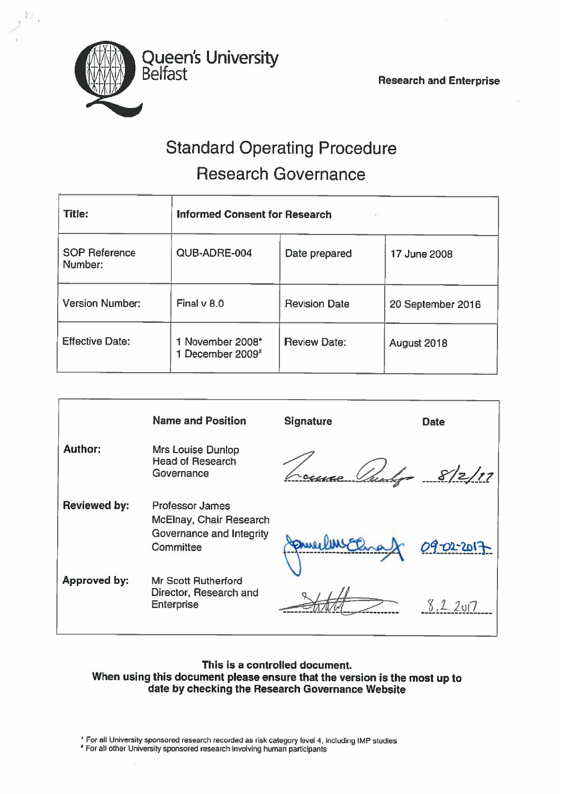

Ł)

# Standard Operating Procedure Research Governance

| <b>Title:</b>                   | <b>Informed Consent for Research</b> |                               |                   |  |  |  |  |
|---------------------------------|--------------------------------------|-------------------------------|-------------------|--|--|--|--|
| <b>SOP Reference</b><br>Number: | QUB-ADRE-004                         | Date prepared<br>17 June 2008 |                   |  |  |  |  |
| <b>Version Number:</b>          | Final $v$ 8.0                        | <b>Revision Date</b>          | 20 September 2016 |  |  |  |  |
| <b>Effective Date:</b>          | 1 November 2008*<br>1 December 2009# | <b>Review Date:</b>           | August 2018       |  |  |  |  |

|                     | <b>Name and Position</b>                                           | <b>Signature</b> | <b>Date</b> |
|---------------------|--------------------------------------------------------------------|------------------|-------------|
| <b>Author:</b>      | Mrs Louise Dunlop<br><b>Head of Research</b><br>Governance         |                  | 8/2/17      |
| <b>Reviewed by:</b> | <b>Professor James</b><br>McElnay, Chair Research                  |                  |             |
|                     | Governance and Integrity<br>Committee                              |                  | 09-02-2017  |
| <b>Approved by:</b> | Mr Scott Rutherford<br>Director, Research and<br><b>Enterprise</b> |                  | 8.2.2017    |

This is <sup>a</sup> controlled document. When using this document <sup>p</sup>lease ensure that the version is the most up to date by checking the Research Governance Website

• For all University sponsore<sup>d</sup> research recorded as risk category level 4, including IMP studies

For all other univemity sponsore<sup>d</sup> research involving human participants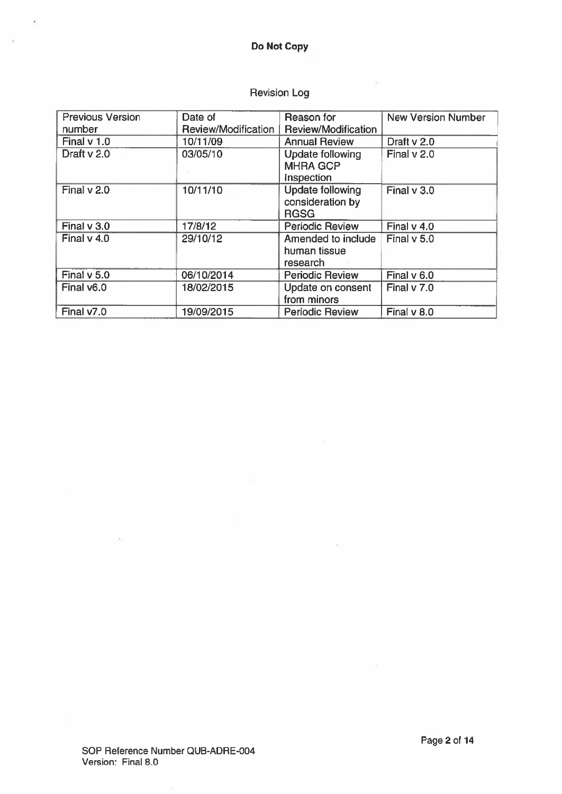$\tilde{\mathbf{r}}$ 

 $\lambda$ 

| <b>Previous Version</b> | Date of             | Reason for                                                 | <b>New Version Number</b> |
|-------------------------|---------------------|------------------------------------------------------------|---------------------------|
| number                  | Review/Modification | <b>Review/Modification</b>                                 |                           |
| Final $v$ 1.0           | 10/11/09            | <b>Annual Review</b>                                       | Draft v 2.0               |
| Draft v 2.0             | 03/05/10            | <b>Update following</b><br><b>MHRA GCP</b><br>Inspection   | Final v 2.0               |
| Final v 2.0             | 10/11/10            | <b>Update following</b><br>consideration by<br><b>RGSG</b> | Final $v$ 3.0             |
| Final $v$ 3.0           | 17/8/12             | <b>Periodic Review</b>                                     | Final $v$ 4.0             |
| Final $v$ 4.0           | 29/10/12            | Amended to include<br>human tissue<br>research             | Final v 5.0               |
| Final v 5.0             | 06/10/2014          | <b>Periodic Review</b>                                     | Final $v$ 6.0             |
| Final v6.0              | 18/02/2015          | Update on consent<br>from minors                           | Final $v$ 7.0             |
| Final v7.0              | 19/09/2015          | <b>Periodic Review</b>                                     | Final v 8.0               |

÷.

# Revision Log

os)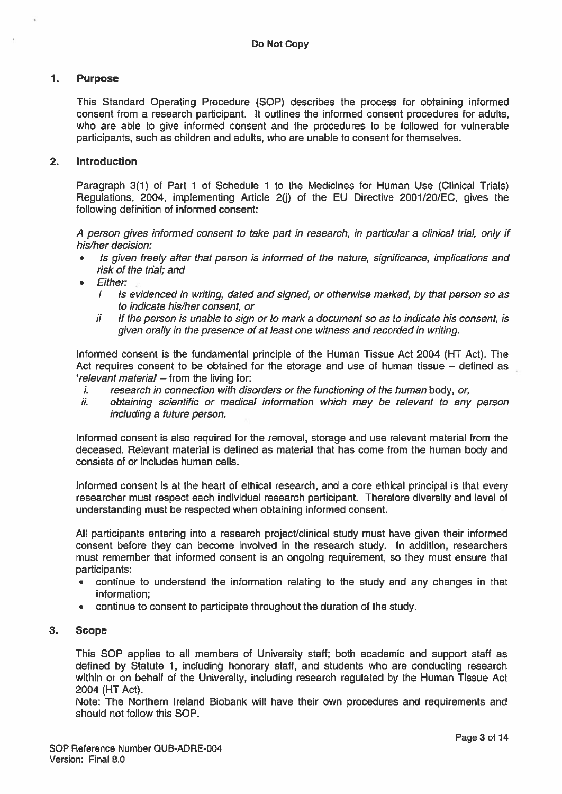# 1. Purpose

This Standard Operating Procedure (SOP) describes the process for obtaining informed consent from <sup>a</sup> research participant. It outlines the informed consent procedures for adults, who are able to give informed consent and the procedures to be followed for vulnerable participants, such as children and adults, who are unable to consent for themselves.

# 2. Introduction

Paragraph 3(1) of Part 1 of Schedule 1 to the Medicines for Human Use (Clinical Trials) Regulations, 2004, implementing Article 2(i) of the EU Directive 2001/20/EC, gives the following definition of informed consent:

A person gives informed consent to take part in research, in particular a clinical trial, only if his/her decision:

- • Is given freely after that person is informed of the nature, significance, implications and risk of the trial; and
- • Either:
	- i Is evidenced in writing, dated and signed, or otherwise marked, by that person so as to indicate his/her consent, or
	- $ii$  If the person is unable to sign or to mark a document so as to indicate his consent, is given orally in the presence of at least one witness and recorded in writing.

Informed consent is the fundamental principle of the Human Tissue Act 2004 (HT Act). The Act requires consent to be obtained for the storage and use of human tissue — defined as 'relevant material — from the living for:

- $i.$  research in connection with disorders or the functioning of the human body, or,
- ii. obtaining scientific or medical information which may be relevant to any person including <sup>a</sup> future person.

Informed consent is also required for the removal, storage and use relevant material from the deceased. Relevant material is defined as material that has come from the human body and consists of or includes human cells.

Informed consent is at the heart of ethical research, and <sup>a</sup> core ethical principal is that every researcher must respec<sup>t</sup> each individual research participant. Therefore diversity and level of understanding must be respected when obtaining informed consent.

All participants entering into a research project/clinical study must have given their informed consent before they can become involved in the research study. In addition, researchers must remember that informed consent is an ongoing requirement, so they must ensure that participants:

- • continue to understand the information relating to the study and any changes in that information;
- •continue to consent to participate throughout the duration of the study.

# 3. Scope

This SOP applies to all members of University staff; both academic and suppor<sup>t</sup> staff as defined by Statute 1, including honorary staff, and students who are conducting research within or on behalf of the University, including research regulated by the Human Tissue Act 2004 (HT Act).

Note: The Northern Ireland Biobank will have their own procedures and requirements and should not follow this SOP.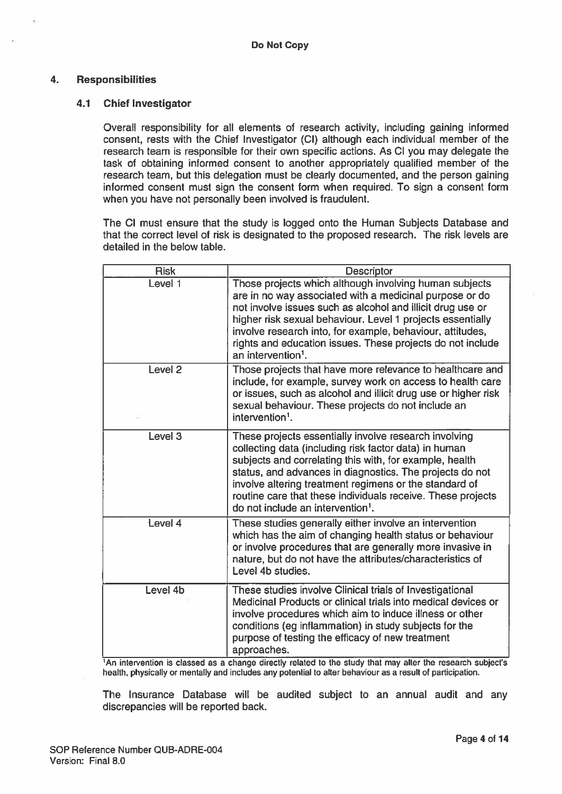## 4. Responsibilities

#### 4.1 Chief Investigator

Overall responsibility for all elements of research activity, including gaining informed consent, rests with the Chief Investigator (CI) although each individual member of the research team is responsible for their own specific actions. As Cl you may delegate the task of obtaining informed consent to another appropriately qualified member of the research team, but this delegation must be clearly documented, and the person gaining informed consent must sign the consent form when required. To sign <sup>a</sup> consent form when you have not personally been involved is fraudulent.

The Cl must ensure that the study is logged onto the Human Subjects Database and that the correct level of risk is designated to the proposed research. The risk levels are detailed in the below table.

| <b>Risk</b>        | <b>Descriptor</b>                                                                                                                                                                                                                                                                                                                                                                                               |
|--------------------|-----------------------------------------------------------------------------------------------------------------------------------------------------------------------------------------------------------------------------------------------------------------------------------------------------------------------------------------------------------------------------------------------------------------|
| Level 1            | Those projects which although involving human subjects<br>are in no way associated with a medicinal purpose or do<br>not involve issues such as alcohol and illicit drug use or<br>higher risk sexual behaviour. Level 1 projects essentially<br>involve research into, for example, behaviour, attitudes,<br>rights and education issues. These projects do not include<br>an intervention <sup>1</sup> .      |
| Level <sub>2</sub> | Those projects that have more relevance to healthcare and<br>include, for example, survey work on access to health care<br>or issues, such as alcohol and illicit drug use or higher risk<br>sexual behaviour. These projects do not include an<br>intervention <sup>1</sup> .                                                                                                                                  |
| Level <sub>3</sub> | These projects essentially involve research involving<br>collecting data (including risk factor data) in human<br>subjects and correlating this with, for example, health<br>status, and advances in diagnostics. The projects do not<br>involve altering treatment regimens or the standard of<br>routine care that these individuals receive. These projects<br>do not include an intervention <sup>1</sup> . |
| Level 4            | These studies generally either involve an intervention<br>which has the aim of changing health status or behaviour<br>or involve procedures that are generally more invasive in<br>nature, but do not have the attributes/characteristics of<br>Level 4b studies.                                                                                                                                               |
| Level 4b           | These studies involve Clinical trials of Investigational<br>Medicinal Products or clinical trials into medical devices or<br>involve procedures which aim to induce illness or other<br>conditions (eg inflammation) in study subjects for the<br>purpose of testing the efficacy of new treatment<br>approaches.                                                                                               |

1An intervention is classed as <sup>a</sup> change directly related to the study that may alter the research subject's health, physically or mentally and includes any potential to alter behaviour as <sup>a</sup> result of participation.

The Insurance Database will be audited subject to an annual audit and any discrepancies will be reported back.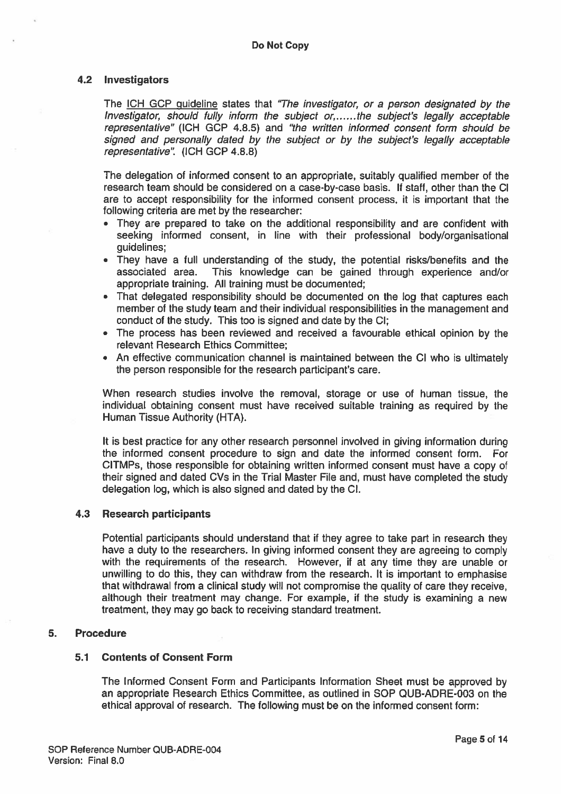#### 4.2 Investigators

The ICH GCP guideline states that "The investigator, or a person designated by the Investigator, should fully inform the subject or  $t$ .....the subject's legally acceptable representative" (ICH GOP 4.8.5) and "the written informed consent form should be signed and personally dated by the subject or by the subject's legally acceptable representative". (ICH GCP 4.8.8)

The delegation of informed consent to an appropriate, suitably qualified member of the research team should be considered on <sup>a</sup> case-by-case basis. If staff, other than the 01 are to accep<sup>t</sup> responsibility for the informed consent process, it is important that the following criteria are met by the researcher:

- They are prepared to take on the additional responsibility and are confident with seeking informed consent, in line with their professional body/organisational guidelines;
- They have <sup>a</sup> full understanding of the study, the potential risks/benefits and the associated area. This knowledge can be gained through experience and/or appropriate training. All training must be documented;
- That delegated responsibility should be documented on the log that captures each member of the study team and their individual responsibilities in the managemen<sup>t</sup> and conduct of the study. This too is signed and date by the Cl;
- The process has been reviewed and received <sup>a</sup> favourable ethical opinion by the relevant Research Ethics Committee;
- An effective communication channel is maintained between the CI who is ultimately the person responsible for the research participant's care.

When research studies involve the removal, storage or use of human tissue, the individual obtaining consent must have received suitable training as required by the Human Tissue Authority (HTA).

It is best practice for any other research personnel involved in giving information during the informed consent procedure to sign and date the informed consent form. For CITMPs, those responsible for obtaining written informed consent must have <sup>a</sup> copy of their signed and dated CVs in the Trial Master File and, must have completed the study delegation log, which is also signed and dated by the Cl.

#### 4.3 Research participants

Potential participants should understand that if they agree to take par<sup>t</sup> in research they have <sup>a</sup> duty to the researchers. In giving informed consent they are agreeing to comply with the requirements of the research. However, if at any time they are unable or unwilling to do this, they can withdraw from the research. It is important to emphasise that withdrawal from <sup>a</sup> clinical study will not compromise the quality of care they receive, although their treatment may change. For example, if the study is examining <sup>a</sup> new treatment, they may go back to receiving standard treatment.

#### 5. Procedure

## 5.1 Contents of Consent Form

The Informed Consent Form and Participants Information Sheet must be approved by an appropriate Research Ethics Committee, as outlined in SOP QUB-ADRE-003 on the ethical approval of research. The following must be on the informed consent form: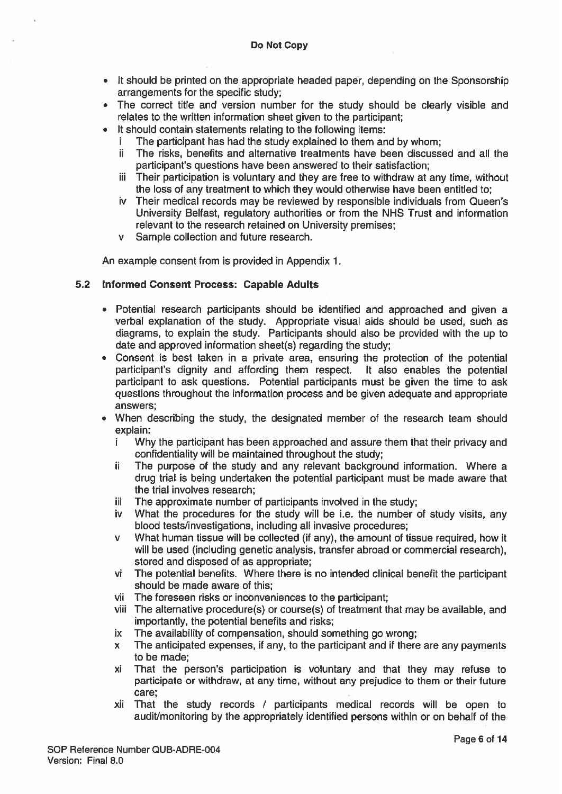- It should be printed on the appropriate headed paper, depending on the Sponsorship arrangements for the specific study;
- The correct title and version number for the study should be clearly visible and relates to the written information sheet given to the participant;
- • It should contain statements relating to the following items:
	- The participant has had the study explained to them and by whom;
	- ii The risks, benefits and alternative treatments have been discussed and all the participant's questions have been answered to their satisfaction;
	- iii Their participation is voluntary and they are free to withdraw at any time, without the loss of any treatment to which they would otherwise have been entitled to;
	- iv Their medical records may be reviewed by responsible individuals from Queen's University Belfast, regulatory authorities or from the NHS Trust and information relevant to the research retained on University premises;
	- <sup>v</sup> Sample collection and future research.

An example consent from is provided in Appendix 1.

#### 5.2 Informed Consent Process: Capable Adults

- Potential research participants should be identified and approached and given <sup>a</sup> verbal explanation of the study. Appropriate visual aids should be used, such as diagrams, to explain the study. Participants should also be provided with the up to date and approved information sheet(s) regarding the study;
- Consent is best taken in <sup>a</sup> private area, ensuring the protection of the potential participant's dignity and affording them respect. It also enables the potential participant to ask questions. Potential participants must be given the time to ask questions throughout the information process and be given adequate and appropriate answers;
- • When describing the study, the designated member of the research team should explain:
	- i Why the participant has been approached and assure them that their privacy and confidentiality will be maintained throughout the study;
	- ii The purpose of the study and any relevant background information. Where a drug trial is being undertaken the potential participant must be made aware that the trial involves research;
	- iii The approximate number of participants involved in the study;
	- iv What the procedures for the study will be i.e. the number of study visits, any blood tests/investigations, including all invasive procedures;
	- <sup>v</sup> What human tissue will be collected (if any), the amount of tissue required, how it will be used (including genetic analysis, transfer abroad or commercial research), stored and disposed of as appropriate;
	- vi The potential benefits. Where there is no intended clinical benefit the participant should be made aware of this;
	- vii The foreseen risks or inconveniences to the participant;
	- viii The alternative procedure(s) or course(s) of treatment that may be available, and importantly, the potential benefits and risks;
	- ix The availability of compensation, should something go wrong;
	- <sup>x</sup> The anticipated expenses, if any, to the participant and if there are any payments to be made;
	- xi That the person's participation is voluntary and that they may refuse to participate or withdraw, at any time, without any prejudice to them or their future care;
	- xii That the study records / participants medical records will be open to audit/monitoring by the appropriately identified persons within or on behalf of the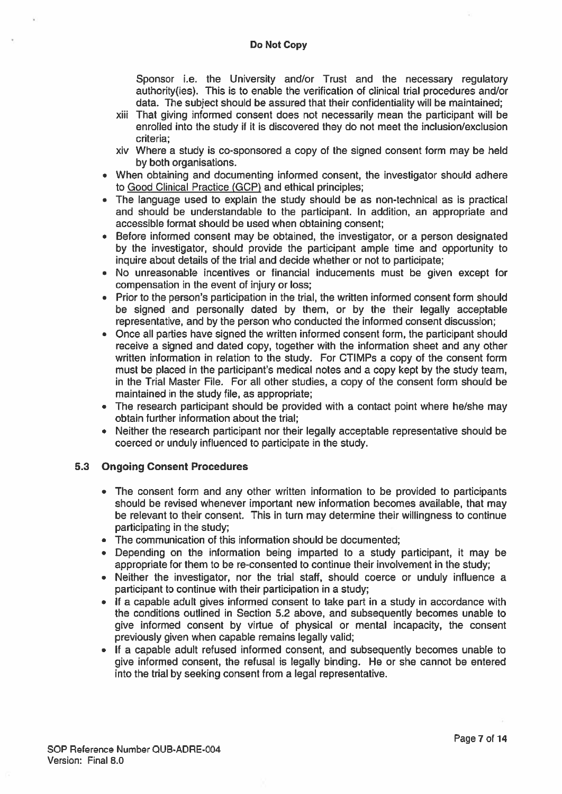Sponsor i.e. the University and/or Trust and the necessary regulatory authority(ies). This is to enable the verification of clinical trial procedures and/or data. The subject should be assured that their confidentiality will be maintained;

- xiii That giving informed consent does not necessarily mean the participant will be enrolled into the study if it is discovered they do not meet the inclusion/exclusion criteria;
- xiv Where <sup>a</sup> study is co-sponsored <sup>a</sup> copy of the signed consent form may be held by both organisations.
- When obtaining and documenting informed consent, the investigator should adhere to Good Clinical Practice (GCP) and ethical principles;
- The language used to explain the study should be as non-technical as is practical and should be understandable to the participant. In addition, an appropriate and accessible format should be used when obtaining consent;
- Before informed consent may be obtained, the investigator, or <sup>a</sup> person designated by the investigator, should provide the participant ample time and opportunity to inquire about details of the trial and decide whether or not to participate;
- No unreasonable incentives or financial inducements must be given excep<sup>t</sup> for compensation in the event of injury or loss;
- Prior to the person's participation in the trial, the written informed consent form should be signed and personally dated by them, or by the their legally acceptable representative, and by the person who conducted the informed consent discussion;
- Once all parties have signed the written informed consent form, the participant should receive <sup>a</sup> signed and dated copy, together with the information sheet and any other written information in relation to the study. For CTIMPs <sup>a</sup> copy of the consent form must be placed in the participant's medical notes and <sup>a</sup> copy kept by the study team, in the Trial Master File. For all other studies, <sup>a</sup> copy of the consent form should be maintained in the study file, as appropriate;
- The research participant should be provided with <sup>a</sup> contact point where he/she may obtain further information about the trial;
- Neither the research participant nor their legally acceptable representative should be coerced or unduly influenced to participate in the study.

# 5.3 Ongoing Consent Procedures

- The consent form and any other written information to be provided to participants should be revised whenever important new information becomes available, that may be relevant to their consent. This in turn may determine their willingness to continue participating in the study;
- The communication of this information should be documented;
- Depending on the information being imparted to <sup>a</sup> study participant, it may be appropriate for them to be re-consented to continue their involvement in the study;
- Neither the investigator, nor the trial staff, should coerce or unduly influence <sup>a</sup> participant to continue with their participation in <sup>a</sup> study;
- If <sup>a</sup> capable adult gives informed consent to take par<sup>t</sup> in <sup>a</sup> study in accordance with the conditions outlined in Section 5.2 above, and subsequently becomes unable to give informed consent by virtue of physical or mental incapacity, the consent previously given when capable remains legally valid;
- If <sup>a</sup> capable adult refused informed consent, and subsequently becomes unable to give informed consent, the refusal is legally binding. He or she cannot be entered into the trial by seeking consent from <sup>a</sup> legal representative.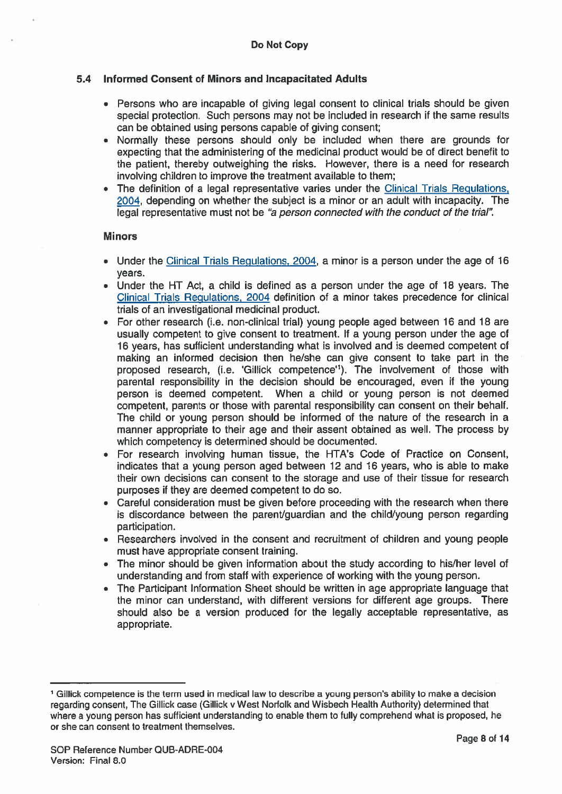# 5.4 Informed Consent of Minors and Incapacitated Adults

- Persons who are incapable of giving legal consent to clinical trials should be given special protection. Such persons may not be included in research if the same results can be obtained using persons capable of giving consent;
- Normally these persons should only be included when there are grounds for expecting that the administering of the medicinal product would be of direct benefit to the patient, thereby outweighing the risks. However, there is <sup>a</sup> need for research involving children to improve the treatment available to them;
- • The definition of <sup>a</sup> legal representative varies under the Clinical Trials Regulations, 2004, depending on whether the subject is <sup>a</sup> minor or an adult with incapacity. The legal representative must not be "a person connected with the conduct of the trial".

#### Minors

- Under the Clinical Trials Regulations, 2004, <sup>a</sup> minor is <sup>a</sup> person under the age of 16 years.
- Under the HT Act, <sup>a</sup> child is defined as <sup>a</sup> person under the age of 18 years. The Clinical Trials Regulations, 2004 definition of <sup>a</sup> minor takes precedence for clinical trials of an investigational medicinal product.
- For other research (i.e. non-clinical trial) young people aged between 16 and 18 are usually competent to give consent to treatment. If <sup>a</sup> young person under the age of 16 years, has sufficient understanding what is involved and is deemed competent of making an informed decision then he/she can give consent to take par<sup>t</sup> in the proposed research, (i.e. 'Gillick competence'1). The involvement of those with parental responsibility in the decision should be encouraged, even if the young person is deemed competent. When <sup>a</sup> child or young person is not deemed competent, parents or those with parental responsibility can consent on their behalf. The child or young person should be informed of the nature of the research in <sup>a</sup> manner appropriate to their age and their assent obtained as well. The process by which competency is determined should be documented.
- • For research involving human tissue, the HTA's Code of Practice on Consent, indicates that <sup>a</sup> young person aged between 12 and 16 years, who is able to make their own decisions can consent to the storage and use of their tissue for research purposes if they are deemed competent to do so.
- • Careful consideration must be given before proceeding with the research when there is discordance between the parent/guardian and the child/young person regarding participation.
- Researchers involved in the consent and recruitment of children and young people must have appropriate consent training.
- The minor should be given information about the study according to his/her level of understanding and from staff with experience of working with the young person.
- The Participant Information Sheet should be written in age appropriate language that the minor can understand, with different versions for different age groups. There should also be <sup>a</sup> version produced for the legally acceptable representative, as appropriate.

<sup>1</sup> Gillick competence is the term used in medical law to describe <sup>a</sup> young person's ability to make <sup>a</sup> decision regarding consent, The Gillick case (Gillick <sup>v</sup> West Norfolk and Wisbech Health Authority) determined that where <sup>a</sup> young person has sufficient understanding to enable them to fully comprehend what is proposed, he or she can consent to treatment themselves.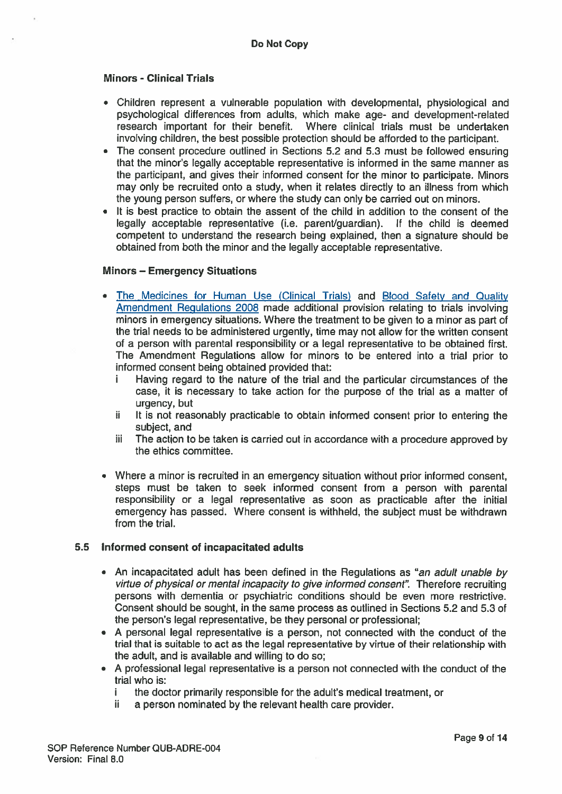# Minors - Clinical Trials

- Children represen<sup>t</sup> <sup>a</sup> vulnerable population with developmental, physiological and psychological differences from adults, which make age- and development-related research important for their benefit. Where clinical trials must be undertaken involving children, the best possible protection should be afforded to the participant.
- The consent procedure outlined in Sections 5.2 and 5.3 must be followed ensuring that the minor's legally acceptable representative is informed in the same manner as the participant, and gives their informed consent for the minor to participate. Minors may only be recruited onto <sup>a</sup> study, when it relates directly to an illness from which the young person suffers, or where the study can only be carried out on minors.
- • It is best practice to obtain the assent of the child in addition to the consent of the legally acceptable representative (i.e. parent/guardian). If the child is deemed competent to understand the research being explained, then <sup>a</sup> signature should be obtained from both the minor and the legally acceptable representative.

#### Minors — Emergency Situations

- • The Medicines for Human Use (Clinical Trials) and Blood Safety and Quality Amendment Regulations 2008 made additional provision relating to trials involving minors in emergency situations. Where the treatment to be given to <sup>a</sup> minor as par<sup>t</sup> of the trial needs to be administered urgently, time may not allow for the written consent of <sup>a</sup> person with parental responsibility or <sup>a</sup> legal representative to be obtained first. The Amendment Regulations allow for minors to be entered into <sup>a</sup> trial prior to informed consent being obtained provided that:
	- i Having regard to the nature of the trial and the particular circumstances of the case, it is necessary to take action for the purpose of the trial as <sup>a</sup> matter of urgency, but
	- ii It is not reasonably practicable to obtain informed consent prior to entering the subject, and
	- üi The action to be taken is carried out in accordance with <sup>a</sup> procedure approved by the ethics committee.
- Where <sup>a</sup> minor is recruited in an emergency situation without prior informed consent, steps must be taken to seek informed consent from <sup>a</sup> person with parental responsibility or <sup>a</sup> legal representative as soon as practicable after the initial emergency has passed. Where consent is withheld, the subject must be withdrawn from the trial.

# 5.5 Informed consent of incapacitated adults

- An incapacitated adult has been defined in the Regulations as "an adult unable by virtue of physical or mental incapacity to give informed consent". Therefore recruiting persons with dementia or psychiatric conditions should be even more restrictive. Consent should be sought, in the same process as outlined in Sections 5.2 and 5.3 of the person's legal representative, be they personal or professional;
- A personal legal representative is <sup>a</sup> person, not connected with the conduct of the trial that is suitable to act as the legal representative by virtue of their relationship with the adult, and is available and willing to do so;
- A professional legal representative is <sup>a</sup> person not connected with the conduct of the trial who is:
	- i the doctor primarily responsible for the adult's medical treatment, or
	- ii a person nominated by the relevant health care provider.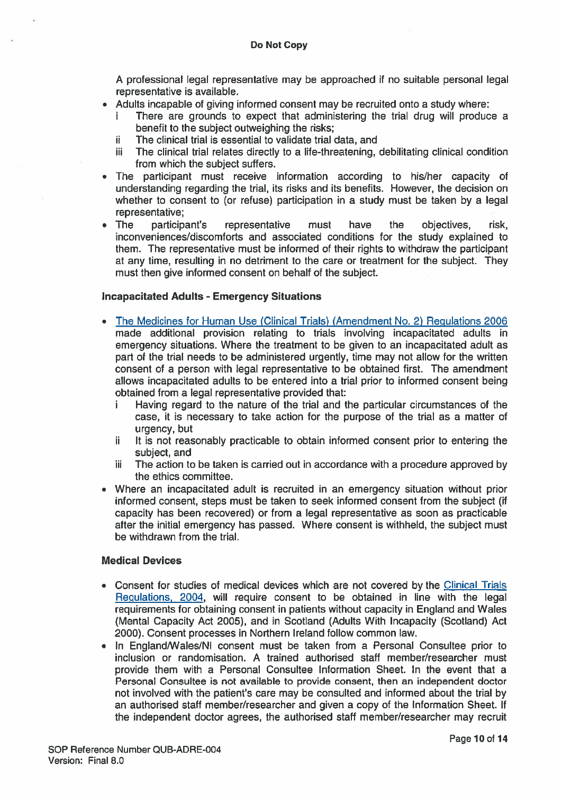A professional legal representative may be approached if no suitable personal legal representative is available.

- • Adults incapable of giving informed consent may be recruited onto <sup>a</sup> study where:
	- There are grounds to expect that administering the trial drug will produce a benefit to the subject outweighing the risks;
	- $ii$  The clinical trial is essential to validate trial data, and
	- iii The clinical trial relates directly to a life-threatening, debilitating clinical condition from which the subject suffers.
- The participant must receive information according to his/her capacity of understanding regarding the trial, its risks and its benefits. However, the decision on whether to consent to (or refuse) participation in <sup>a</sup> study must be taken by <sup>a</sup> legal representative;
- • The participant's representative must have the objectives, risk, inconveniences/discomforts and associated conditions for the study explained to them. The representative must be informed of their rights to withdraw the participant at any time, resulting in no detriment to the care or treatment for the subject. They must then give informed consent on behalf of the subject.

#### Incapacitated Adults - Emergency Situations

- The Medicines for Human Use (Clinical Trials) (Amendment No. 2) Regulations 2006 made additional provision relating to trials involving incapacitated adults in emergency situations. Where the treatment to be given to an incapacitated adult as par<sup>t</sup> of the trial needs to be administered urgently, time may not allow for the written consent of <sup>a</sup> person with legal representative to be obtained first. The amendment allows incapacitated adults to be entered into <sup>a</sup> trial prior to informed consent being obtained from <sup>a</sup> legal representative provided that:
	- i Having regard to the nature of the trial and the particular circumstances of the case, it is necessary to take action for the purpose of the trial as <sup>a</sup> matter of urgency, but
	- $ii$  It is not reasonably practicable to obtain informed consent prior to entering the subject, and
	- $i$  The action to be taken is carried out in accordance with a procedure approved by the ethics committee.
- Where an incapacitated adult is recruited in an emergency situation without prior informed consent, steps must be taken to seek informed consent from the subject (if capacity has been recovered) or from <sup>a</sup> legal representative as soon as practicable after the initial emergency has passed. Where consent is withheld, the subject must be withdrawn from the trial.

## Medical Devices

- Consent for studies of medical devices which are not covered by the Clinical Trials Regulations, 2004, will require consent to be obtained in line with the legal requirements for obtaining consent in patients without capacity in England and Wales (Mental Capacity Act 2005), and in Scotland (Adults With Incapacity (Scotland) Act 2000). Consent processes in Northern Ireland follow common law.
- • In England/Wales/NI consent must be taken from <sup>a</sup> Personal Consultee prior to inclusion or randomisation. A trained authorised staff member/researcher must provide them with <sup>a</sup> Personal Consultee Information Sheet. In the event that <sup>a</sup> Personal Consultee is not available to provide consent, then an independent doctor not involved with the patient's care may be consulted and informed about the trial by an authorised staff member/researcher and given <sup>a</sup> copy of the Information Sheet. If the independent doctor agrees, the authorised staff member/researcher may recruit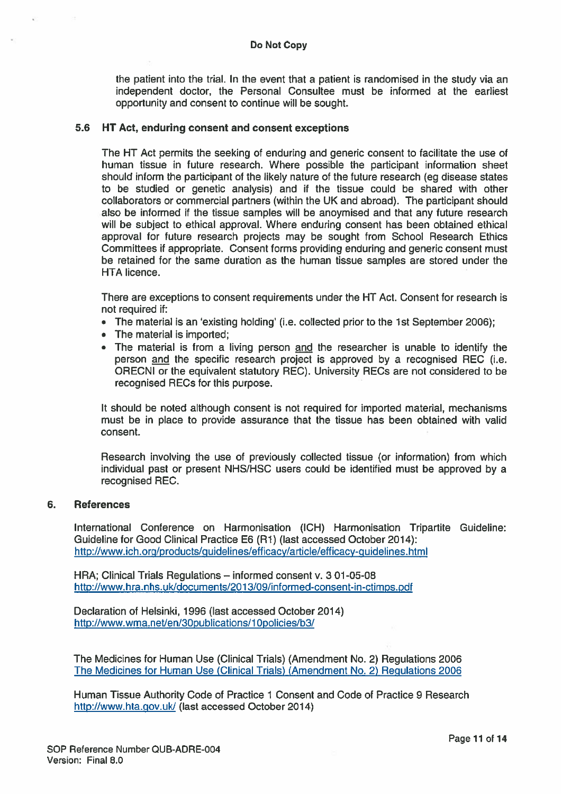the patient into the trial. In the event that <sup>a</sup> patient is randomised in the study via an independent doctor, the Personal Consultee must be informed at the earliest opportunity and consent to continue will be sought.

#### 5.6 HT Act, enduring consent and consent exceptions

The HT Act permits the seeking of enduring and generic consent to facilitate the use of human tissue in future research. Where possible the participant information sheet should inform the participant of the likely nature of the future research (eg disease states to be studied or genetic analysis) and if the tissue could be shared with other collaborators or commercial partners (within the UK and abroad). The participant should also be informed if the tissue samples will be anoymised and that any future research will be subject to ethical approval. Where enduring consent has been obtained ethical approval for future research projects may be sought from School Research Ethics Committees if appropriate. Consent forms providing enduring and generic consent must be retained for the same duration as the human tissue samples are stored under the HTA licence.

There are exceptions to consent requirements under the HT Act. Consent for research is not required if:

- The material is an 'existing holding' (i.e. collected prior to the 1st September 2006);
- The material is imported;
- The material is from a living person and the researcher is unable to identify the person and the specific research project is approved by a recognised REC (i.e. ORECNI or the equivalent statutory REC). University RECs are not considered to be recognised RECs for this purpose.

It should be noted although consent is not required for imported material, mechanisms must be in place to provide assurance that the tissue has been obtained with valid consent.

Research involving the use of previously collected tissue (or information) from which individual pas<sup>t</sup> or presen<sup>t</sup> NHS/HSC users could be identified must be approved by <sup>a</sup> recognised REC.

#### 6. References

International Conference on Harmonisation (ICH) Harmonisation Tripartite Guideline: Guideline for Good Clinical Practice E6 (Ri) (last accessed October 2014): http://www.ich.org/products/guidelines/efficacy/article/efficacy-guidelines.html

HRA; Clinical Trials Regulations — informed consent v. 301-05-08 http://www.hra.nhs.ukldocuments/201 3/09/informed-consent-in-ctimps.pdf

Declaration of Helsinki, 1996 (last accessed October 2014) http://www.wma.net/en/30publications/10policies/b3/

The Medicines for Human Use (Clinical Trials) (Amendment No. 2) Regulations 2006 The Medicines for Human Use (Clinical Trials) (Amendment No. 2) Regulations 2006

Human Tissue Authority Code of Practice 1 Consent and Code of Practice 9 Research http://www.hta.gov.uk/ (last accessed October 2014)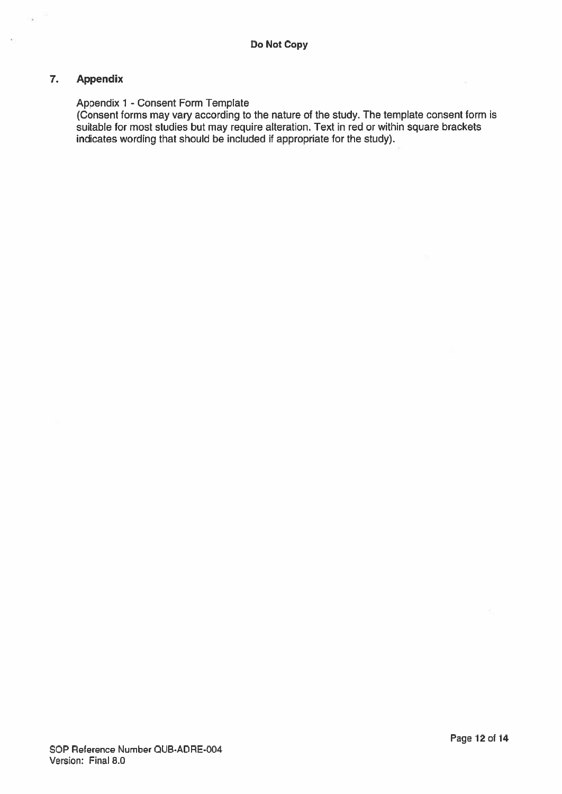# 7. Appendix

## Appendix 1 - Consent Form Template

(Consent forms may vary according to the nature of the study. The template consent form is suitable for most studies but may require alteration. Text in red or within square brackets indicates wording that should be included if appropriate for the study).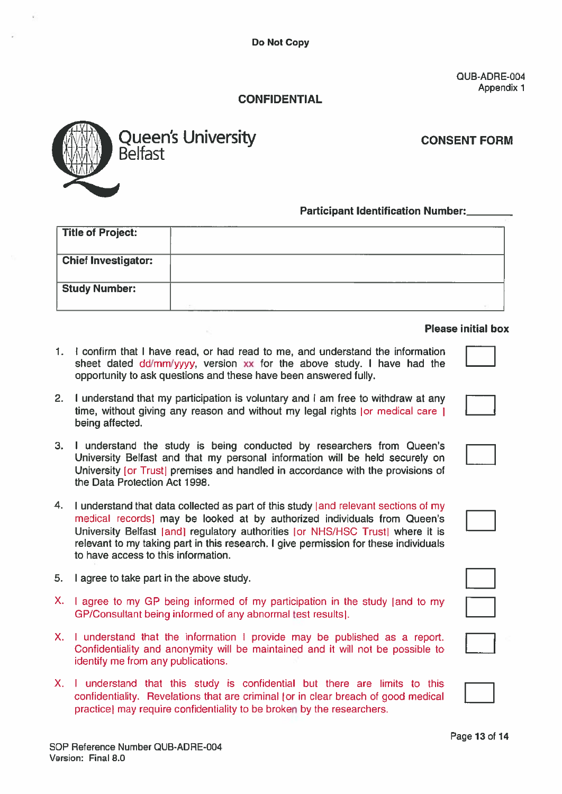# **CONFIDENTIAL**



# Participant Identification Number:

|    |                                          | Do Not Copy                                                                                                                                                                                                                                                                                                                               |                                   |
|----|------------------------------------------|-------------------------------------------------------------------------------------------------------------------------------------------------------------------------------------------------------------------------------------------------------------------------------------------------------------------------------------------|-----------------------------------|
|    |                                          | <b>CONFIDENTIAL</b>                                                                                                                                                                                                                                                                                                                       | QUB-ADRE-004<br><b>Appendix 1</b> |
|    | <b>Belfast</b>                           | <b>Queen's University</b>                                                                                                                                                                                                                                                                                                                 | <b>CONSENT FORM</b>               |
|    |                                          | <b>Participant Identification Number:</b>                                                                                                                                                                                                                                                                                                 |                                   |
|    | <b>Title of Project:</b>                 |                                                                                                                                                                                                                                                                                                                                           |                                   |
|    | <b>Chief Investigator:</b>               |                                                                                                                                                                                                                                                                                                                                           |                                   |
|    | <b>Study Number:</b>                     |                                                                                                                                                                                                                                                                                                                                           |                                   |
|    |                                          |                                                                                                                                                                                                                                                                                                                                           | <b>Please initial box</b>         |
| 1. |                                          | I confirm that I have read, or had read to me, and understand the information<br>sheet dated dd/mm/yyyy, version xx for the above study. I have had the<br>opportunity to ask questions and these have been answered fully.                                                                                                               |                                   |
| 2. | being affected.                          | I understand that my participation is voluntary and I am free to withdraw at any<br>time, without giving any reason and without my legal rights (or medical care )                                                                                                                                                                        |                                   |
| З. | the Data Protection Act 1998.            | I understand the study is being conducted by researchers from Queen's<br>University Belfast and that my personal information will be held securely on<br>University [or Trust] premises and handled in accordance with the provisions of                                                                                                  |                                   |
| 4. | to have access to this information.      | I understand that data collected as part of this study [and relevant sections of my<br>medical records) may be looked at by authorized individuals from Queen's<br>University Belfast [and] regulatory authorities [or NHS/HSC Trust] where it is<br>relevant to my taking part in this research. I give permission for these individuals |                                   |
| 5. | I agree to take part in the above study. |                                                                                                                                                                                                                                                                                                                                           |                                   |
| X. |                                          | I agree to my GP being informed of my participation in the study [and to my<br>GP/Consultant being informed of any abnormal test results).                                                                                                                                                                                                |                                   |
| Х. | identify me from any publications.       | I understand that the information I provide may be published as a report.<br>Confidentiality and anonymity will be maintained and it will not be possible to                                                                                                                                                                              |                                   |
| Х. |                                          | I understand that this study is confidential but there are limits to this<br>confidentiality. Revelations that are criminal (or in clear breach of good medical<br>practice) may require confidentiality to be broken by the researchers.                                                                                                 |                                   |

#### Please initial box

- 1. I confirm that I have read, or had read to me, and understand the information sheet dated dd/mm/yyyy, version xx for the above study. I have had the opportunity to ask questions and these have been answered fully.
- 2. I understand that my participation is voluntary and I am free to withdraw at any time, without giving any reason and without my legal rights for medical care I being affected.
- 3. I understand the study is being conducted by researchers from Queen's University Belfast and that my personal information will be held securely on University [or Trustl premises and handled in accordance with the provisions of the Data Protection Act 1998.
- 4. I understand that data collected as part of this study [and relevant sections of my medical recordsl may be looked at by authorized individuals from Queen's University Belfast [and] regulatory authorities [or NHS/HSC Trust] where it is relevant to my taking par<sup>t</sup> in this research. I give permission for these individuals to have access to this information.
- 5. I agree to take par<sup>t</sup> in the above study.
- X. <sup>I</sup> agree to my GP being informed of my participation in the study land to my GP/Consultant being informed of any abnormal test resultsl.
- X. I understand that the information I provide may be published as <sup>a</sup> report. identify me from any publications.
- X. I understand that this study is confidential but there are limits to this